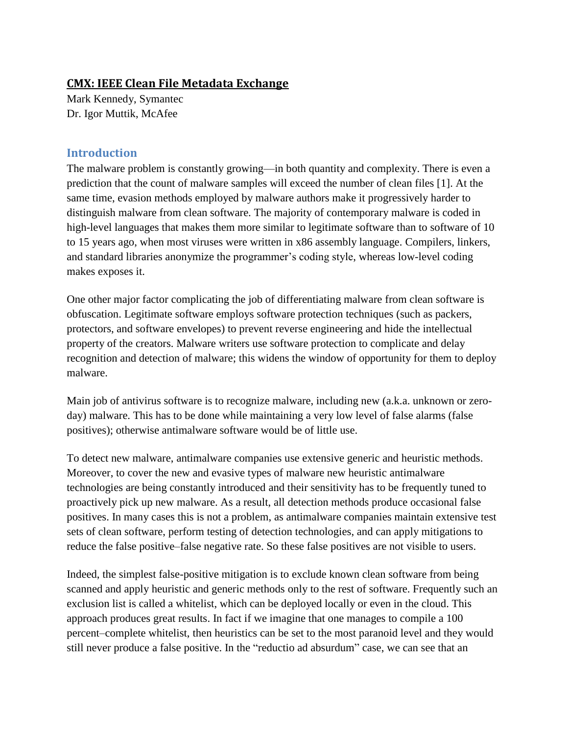### **[CMX: IEEE Clean File Metadata Exchange](https://www.blackhat.com/us-13/briefings.html#Kennedy)**

Mark Kennedy, Symantec Dr. Igor Muttik, McAfee

### **Introduction**

The malware problem is constantly growing—in both quantity and complexity. There is even a prediction that the count of malware samples will exceed the number of clean files [1]. At the same time, evasion methods employed by malware authors make it progressively harder to distinguish malware from clean software. The majority of contemporary malware is coded in high-level languages that makes them more similar to legitimate software than to software of 10 to 15 years ago, when most viruses were written in x86 assembly language. Compilers, linkers, and standard libraries anonymize the programmer's coding style, whereas low-level coding makes exposes it.

One other major factor complicating the job of differentiating malware from clean software is obfuscation. Legitimate software employs software protection techniques (such as packers, protectors, and software envelopes) to prevent reverse engineering and hide the intellectual property of the creators. Malware writers use software protection to complicate and delay recognition and detection of malware; this widens the window of opportunity for them to deploy malware.

Main job of antivirus software is to recognize malware, including new (a.k.a. unknown or zeroday) malware. This has to be done while maintaining a very low level of false alarms (false positives); otherwise antimalware software would be of little use.

To detect new malware, antimalware companies use extensive generic and heuristic methods. Moreover, to cover the new and evasive types of malware new heuristic antimalware technologies are being constantly introduced and their sensitivity has to be frequently tuned to proactively pick up new malware. As a result, all detection methods produce occasional false positives. In many cases this is not a problem, as antimalware companies maintain extensive test sets of clean software, perform testing of detection technologies, and can apply mitigations to reduce the false positive–false negative rate. So these false positives are not visible to users.

Indeed, the simplest false-positive mitigation is to exclude known clean software from being scanned and apply heuristic and generic methods only to the rest of software. Frequently such an exclusion list is called a whitelist, which can be deployed locally or even in the cloud. This approach produces great results. In fact if we imagine that one manages to compile a 100 percent–complete whitelist, then heuristics can be set to the most paranoid level and they would still never produce a false positive. In the "reductio ad absurdum" case, we can see that an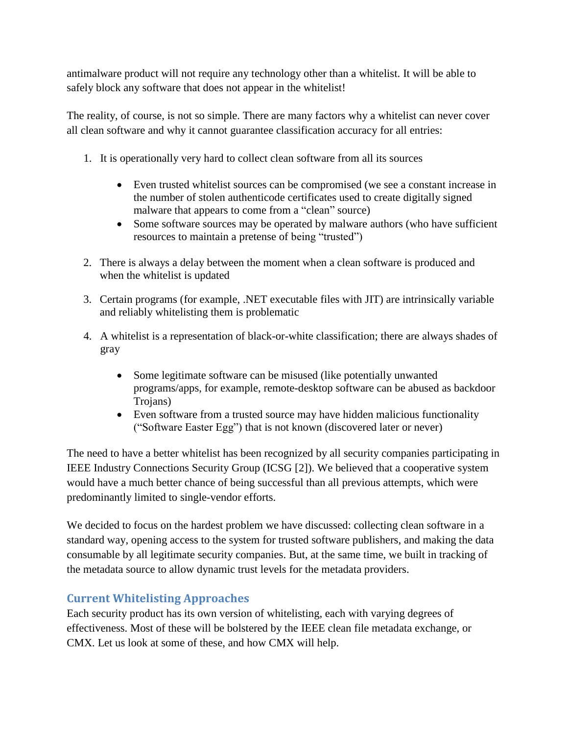antimalware product will not require any technology other than a whitelist. It will be able to safely block any software that does not appear in the whitelist!

The reality, of course, is not so simple. There are many factors why a whitelist can never cover all clean software and why it cannot guarantee classification accuracy for all entries:

- 1. It is operationally very hard to collect clean software from all its sources
	- Even trusted whitelist sources can be compromised (we see a constant increase in the number of stolen authenticode certificates used to create digitally signed malware that appears to come from a "clean" source)
	- Some software sources may be operated by malware authors (who have sufficient resources to maintain a pretense of being "trusted")
- 2. There is always a delay between the moment when a clean software is produced and when the whitelist is updated
- 3. Certain programs (for example, .NET executable files with JIT) are intrinsically variable and reliably whitelisting them is problematic
- 4. A whitelist is a representation of black-or-white classification; there are always shades of gray
	- Some legitimate software can be misused (like potentially unwanted programs/apps, for example, remote-desktop software can be abused as backdoor Trojans)
	- Even software from a trusted source may have hidden malicious functionality ("Software Easter Egg") that is not known (discovered later or never)

The need to have a better whitelist has been recognized by all security companies participating in IEEE Industry Connections Security Group (ICSG [2]). We believed that a cooperative system would have a much better chance of being successful than all previous attempts, which were predominantly limited to single-vendor efforts.

We decided to focus on the hardest problem we have discussed: collecting clean software in a standard way, opening access to the system for trusted software publishers, and making the data consumable by all legitimate security companies. But, at the same time, we built in tracking of the metadata source to allow dynamic trust levels for the metadata providers.

# **Current Whitelisting Approaches**

Each security product has its own version of whitelisting, each with varying degrees of effectiveness. Most of these will be bolstered by the IEEE clean file metadata exchange, or CMX. Let us look at some of these, and how CMX will help.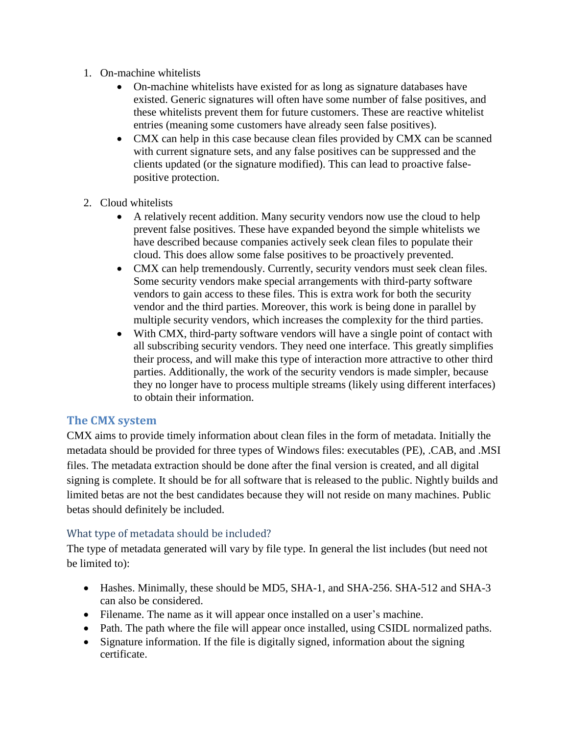- 1. On-machine whitelists
	- On-machine whitelists have existed for as long as signature databases have existed. Generic signatures will often have some number of false positives, and these whitelists prevent them for future customers. These are reactive whitelist entries (meaning some customers have already seen false positives).
	- CMX can help in this case because clean files provided by CMX can be scanned with current signature sets, and any false positives can be suppressed and the clients updated (or the signature modified). This can lead to proactive falsepositive protection.
- 2. Cloud whitelists
	- A relatively recent addition. Many security vendors now use the cloud to help prevent false positives. These have expanded beyond the simple whitelists we have described because companies actively seek clean files to populate their cloud. This does allow some false positives to be proactively prevented.
	- CMX can help tremendously. Currently, security vendors must seek clean files. Some security vendors make special arrangements with third-party software vendors to gain access to these files. This is extra work for both the security vendor and the third parties. Moreover, this work is being done in parallel by multiple security vendors, which increases the complexity for the third parties.
	- With CMX, third-party software vendors will have a single point of contact with all subscribing security vendors. They need one interface. This greatly simplifies their process, and will make this type of interaction more attractive to other third parties. Additionally, the work of the security vendors is made simpler, because they no longer have to process multiple streams (likely using different interfaces) to obtain their information.

# **The CMX system**

CMX aims to provide timely information about clean files in the form of metadata. Initially the metadata should be provided for three types of Windows files: executables (PE), .CAB, and .MSI files. The metadata extraction should be done after the final version is created, and all digital signing is complete. It should be for all software that is released to the public. Nightly builds and limited betas are not the best candidates because they will not reside on many machines. Public betas should definitely be included.

#### What type of metadata should be included?

The type of metadata generated will vary by file type. In general the list includes (but need not be limited to):

- Hashes. Minimally, these should be MD5, SHA-1, and SHA-256. SHA-512 and SHA-3 can also be considered.
- Filename. The name as it will appear once installed on a user's machine.
- Path. The path where the file will appear once installed, using CSIDL normalized paths.
- Signature information. If the file is digitally signed, information about the signing certificate.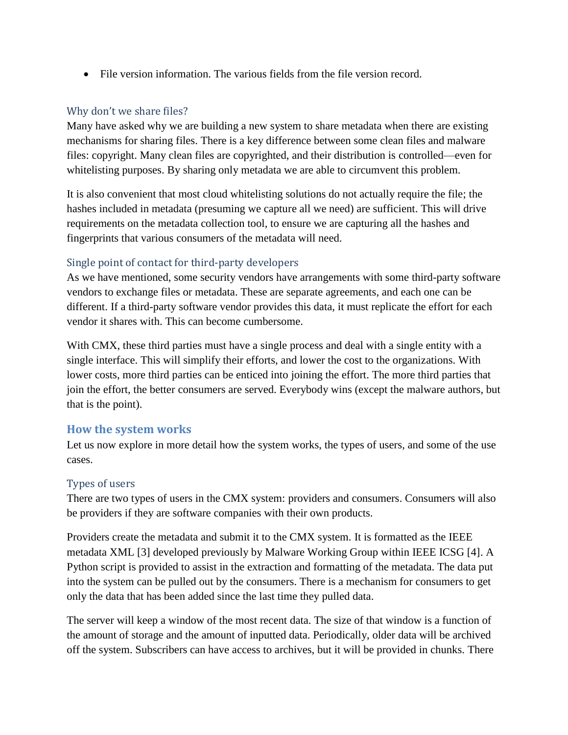• File version information. The various fields from the file version record.

### Why don't we share files?

Many have asked why we are building a new system to share metadata when there are existing mechanisms for sharing files. There is a key difference between some clean files and malware files: copyright. Many clean files are copyrighted, and their distribution is controlled—even for whitelisting purposes. By sharing only metadata we are able to circumvent this problem.

It is also convenient that most cloud whitelisting solutions do not actually require the file; the hashes included in metadata (presuming we capture all we need) are sufficient. This will drive requirements on the metadata collection tool, to ensure we are capturing all the hashes and fingerprints that various consumers of the metadata will need.

# Single point of contact for third-party developers

As we have mentioned, some security vendors have arrangements with some third-party software vendors to exchange files or metadata. These are separate agreements, and each one can be different. If a third-party software vendor provides this data, it must replicate the effort for each vendor it shares with. This can become cumbersome.

With CMX, these third parties must have a single process and deal with a single entity with a single interface. This will simplify their efforts, and lower the cost to the organizations. With lower costs, more third parties can be enticed into joining the effort. The more third parties that join the effort, the better consumers are served. Everybody wins (except the malware authors, but that is the point).

#### **How the system works**

Let us now explore in more detail how the system works, the types of users, and some of the use cases.

#### Types of users

There are two types of users in the CMX system: providers and consumers. Consumers will also be providers if they are software companies with their own products.

Providers create the metadata and submit it to the CMX system. It is formatted as the IEEE metadata XML [3] developed previously by Malware Working Group within IEEE ICSG [4]. A Python script is provided to assist in the extraction and formatting of the metadata. The data put into the system can be pulled out by the consumers. There is a mechanism for consumers to get only the data that has been added since the last time they pulled data.

The server will keep a window of the most recent data. The size of that window is a function of the amount of storage and the amount of inputted data. Periodically, older data will be archived off the system. Subscribers can have access to archives, but it will be provided in chunks. There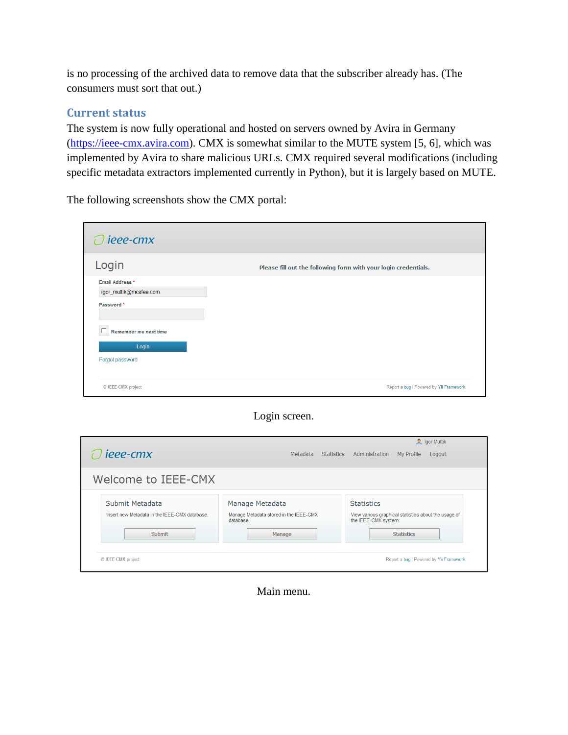is no processing of the archived data to remove data that the subscriber already has. (The consumers must sort that out.)

#### **Current status**

The system is now fully operational and hosted on servers owned by Avira in Germany [\(https://ieee-cmx.avira.com\)](https://ieee-cmx.avira.com/). CMX is somewhat similar to the MUTE system [5, 6], which was implemented by Avira to share malicious URLs. CMX required several modifications (including specific metadata extractors implemented currently in Python), but it is largely based on MUTE.

The following screenshots show the CMX portal:

| ieee-cmx                                                |                                                                 |
|---------------------------------------------------------|-----------------------------------------------------------------|
| Login                                                   | Please fill out the following form with your login credentials. |
| Email Address *<br>igor_muttik@mcafee.com<br>Password * |                                                                 |
| Remember me next time<br>Login<br>Forgot password       |                                                                 |
| © IEEE-CMX project                                      | Report a bug   Powered by Yii Framework.                        |

### Login screen.

| ieee-cmx                                                                   | Metadata<br>Statistics                                                           | <b>Q</b> Igor Muttik<br>Administration<br>My Profile<br>Logout                                                         |
|----------------------------------------------------------------------------|----------------------------------------------------------------------------------|------------------------------------------------------------------------------------------------------------------------|
| Welcome to IEEE-CMX                                                        |                                                                                  |                                                                                                                        |
| Submit Metadata<br>Insert new Metadata in the IEEE-CMX database.<br>Submit | Manage Metadata<br>Manage Metadata stored in the IEEE-CMX<br>database.<br>Manage | <b>Statistics</b><br>View various graphical statistics about the usage of<br>the IEEE-CMX system.<br><b>Statistics</b> |
| © IEEE-CMX project                                                         |                                                                                  | Report a bug   Powered by Yii Framework.                                                                               |

Main menu.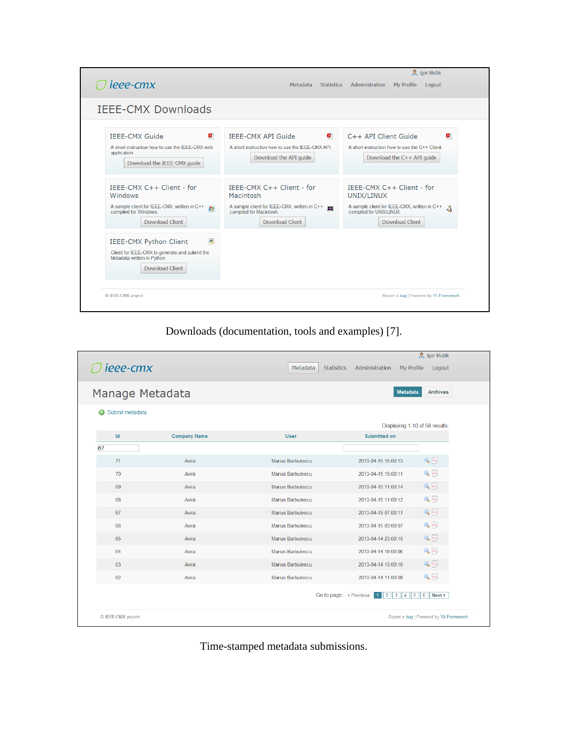| $\Omega$ lgor Muttik                                                                                                                                 |                                                                                                                                                |                                                                                                                                                           |  |  |
|------------------------------------------------------------------------------------------------------------------------------------------------------|------------------------------------------------------------------------------------------------------------------------------------------------|-----------------------------------------------------------------------------------------------------------------------------------------------------------|--|--|
| ieee-cmx                                                                                                                                             | Metadata<br><b>Statistics</b>                                                                                                                  | Administration<br>My Profile<br>Logout                                                                                                                    |  |  |
| <b>IEEE-CMX Downloads</b>                                                                                                                            |                                                                                                                                                |                                                                                                                                                           |  |  |
| <b>IEEE-CMX Guide</b><br>ø<br>A short instruction how to use the IEEE-CMX web<br>application.<br>Download the IEEE-CMX guide                         | IEEE-CMX API Guide<br>ø<br>A short instruction how to use the IEEE-CMX APL<br>Download the API quide                                           | C++ API Client Guide<br>ø<br>A short instruction how to use the C++ Client.<br>Download the C++ API quide                                                 |  |  |
| IEEE-CMX $C++$ Client - for<br>Windows<br>A sample client for IEEE-CMX, written in C++<br><b>Av</b><br>compiled for Windows.<br>Download Client      | IEEE-CMX $C++$ Client - for<br>Macintosh<br>A sample client for IEEE-CMX, written in C++<br>ago.<br>compiled for Macintosh.<br>Download Client | IEEE-CMX $C++$ Client - for<br>UNIX/LINUX<br>A sample client for IEEE-CMX, written in C++<br>$\mathcal{A}$<br>compiled for UNIX/LINUX.<br>Download Client |  |  |
| $\bullet$<br><b>IEEE-CMX Python Client</b><br>Client for IEEE-CMX to generate and submit the<br>Metadata written in Python<br><b>Download Client</b> |                                                                                                                                                |                                                                                                                                                           |  |  |
| C IEEE-CMX project                                                                                                                                   |                                                                                                                                                | Report a bug   Powered by Yii Framework.                                                                                                                  |  |  |

Downloads (documentation, tools and examples) [7].

|                            |                     |                               |                                                                                                               | <b>R</b> Igor Muttik   |
|----------------------------|---------------------|-------------------------------|---------------------------------------------------------------------------------------------------------------|------------------------|
| ieee-cmx                   |                     | Metadata<br><b>Statistics</b> | Administration<br>My Profile                                                                                  | Logout                 |
|                            |                     |                               |                                                                                                               |                        |
| Manage Metadata            |                     |                               | <b>Metadata</b>                                                                                               | <b>Archives</b>        |
| $\odot$<br>Submit metadata |                     |                               |                                                                                                               |                        |
|                            |                     |                               | Displaying 1-10 of 58 results.                                                                                |                        |
| Id                         | <b>Company Name</b> | <b>User</b>                   | <b>Submitted on</b>                                                                                           |                        |
| 67                         |                     |                               |                                                                                                               |                        |
| 71                         | Avira               | Marius Barbulescu             | 2013-04-15 15:00:13                                                                                           | $Q_0$ $q$              |
| 70                         | Avira               | Marius Barbulescu             | 2013-04-15 15:00:11                                                                                           | $Q_0$ and              |
| 69                         | Avira               | Marius Barbulescu             | 2013-04-15 11:00:14                                                                                           | $Q_{\rm s}$ $q$        |
| 68                         | Avira               | Marius Barbulescu             | 2013-04-15 11:00:12                                                                                           | $Q_2$ and              |
| 67                         | Avira               | Marius Barbulescu             | 2013-04-15 07:00:11                                                                                           | $Q_{\rm s}$ $q$        |
| 66                         | Avira               | Marius Barbulescu             | 2013-04-15 03:00:07                                                                                           | $Q_0$ $\overline{Q_0}$ |
| 65                         | Avira               | Marius Barbulescu             | 2013-04-14 23:00:15                                                                                           | $Q_2$ $q$              |
| 64                         | Avira               | Marius Barbulescu             | 2013-04-14 19:00:06                                                                                           | $\mathbb{Q}$ $\omega$  |
| 63                         | Avira               | Marius Barbulescu             | 2013-04-14 15:00:16                                                                                           | $Q_{\rm s}$ $q$        |
| 62                         | Avira               | Marius Barbulescu             | 2013-04-14 11:00:08                                                                                           | $Q_2$ and              |
|                            |                     |                               | Go to page: $\leq$ Previous<br>$\overline{3}$<br>6<br>$\parallel$ 2<br>5<br>$\vert 4 \vert$<br>$\overline{1}$ | Next >                 |
| © IEEE-CMX project         |                     |                               | Report a bug   Powered by Yii Framework.                                                                      |                        |

Time-stamped metadata submissions.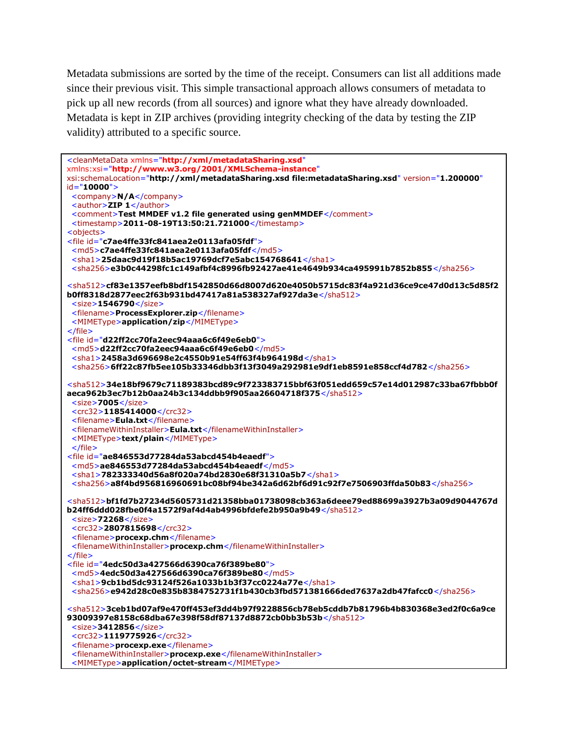Metadata submissions are sorted by the time of the receipt. Consumers can list all additions made since their previous visit. This simple transactional approach allows consumers of metadata to pick up all new records (from all sources) and ignore what they have already downloaded. Metadata is kept in ZIP archives (providing integrity checking of the data by testing the ZIP validity) attributed to a specific source.

| <cleanmetadata <="" th="" xmlns="http://xml/metadataSharing.xsd"></cleanmetadata>                                                               |
|-------------------------------------------------------------------------------------------------------------------------------------------------|
| xmlns:xsi="http://www.w3.org/2001/XMLSchema-instance"                                                                                           |
| xsi:schemaLocation="http://xml/metadataSharing.xsd file:metadataSharing.xsd" version="1.200000"                                                 |
| $id="10000"$                                                                                                                                    |
| <company>N/A</company><br><author>ZIP 1</author>                                                                                                |
| <comment>Test MMDEF v1.2 file generated using genMMDEF</comment>                                                                                |
| <timestamp>2011-08-19T13:50:21.721000</timestamp>                                                                                               |
| <objects></objects>                                                                                                                             |
| <file id="c7ae4ffe33fc841aea2e0113afa05fdf"></file>                                                                                             |
| <md5>c7ae4ffe33fc841aea2e0113afa05fdf</md5>                                                                                                     |
| <sha1>25daac9d19f18b5ac19769dcf7e5abc154768641</sha1>                                                                                           |
| $<$ sha256>e3b0c44298fc1c149afbf4c8996fb92427ae41e4649b934ca495991b7852b855                                                                     |
|                                                                                                                                                 |
| <sha512>cf83e1357eefb8bdf1542850d66d8007d620e4050b5715dc83f4a921d36ce9ce47d0d13c5d85f2</sha512>                                                 |
| b0ff8318d2877eec2f63b931bd47417a81a538327af927da3e<br>$<$ size>1546790                                                                          |
| <filename>ProcessExplorer.zip</filename>                                                                                                        |
| <mimetype>application/zip</mimetype>                                                                                                            |
| $\frac{2}{\sqrt{2}}$                                                                                                                            |
| <file id="d22ff2cc70fa2eec94aaa6c6f49e6eb0"></file>                                                                                             |
| <md5>d22ff2cc70fa2eec94aaa6c6f49e6eb0</md5>                                                                                                     |
| $\le$ sha1>2458a3d696698e2c4550b91e54ff63f4b964198d                                                                                             |
| $<$ sha256>6ff22c87fb5ee105b33346dbb3f13f3049a292981e9df1eb8591e858ccf4d782                                                                     |
|                                                                                                                                                 |
| <sha512><b>34e18bf9679c71189383bcd89c9f723383715bbf63f051edd659c57e14d012987c33ba67fbbb0f</b></sha512>                                          |
| aeca962b3ec7b12b0aa24b3c134ddbb9f905aa26604718f375                                                                                              |
| $<$ size>7005 $<$ /size>                                                                                                                        |
| <crc32>1185414000</crc32>                                                                                                                       |
| <filename>Eula.txt</filename>                                                                                                                   |
| <filenamewithininstaller>Eula.txt</filenamewithininstaller>                                                                                     |
| <mimetype>text/plain</mimetype>                                                                                                                 |
| $\langle$ file>                                                                                                                                 |
| <file id="ae846553d77284da53abcd454b4eaedf"><br/><md5>ae846553d77284da53abcd454b4eaedf</md5></file>                                             |
| $\le$ sha1>782333340d56a8f020a74bd2830e68f31310a5b7                                                                                             |
| $<$ sha256>a8f4bd956816960691bc08bf94be342a6d62bf6d91c92f7e7506903ffda50b83                                                                     |
|                                                                                                                                                 |
| $<$ sha512>bf1fd7b27234d5605731d21358bba01738098cb363a6deee79ed88699a3927b3a09d9044767d                                                         |
| b24ff6ddd028fbe0f4a1572f9af4d4ab4996bfdefe2b950a9b49                                                                                            |
| $<$ size>72268 $<$ /size>                                                                                                                       |
| <crc32>2807815698</crc32>                                                                                                                       |
| <filename>procexp.chm</filename>                                                                                                                |
| <filenamewithininstaller>procexp.chm</filenamewithininstaller>                                                                                  |
| $\frac{1}{1}$                                                                                                                                   |
| <file id="4edc50d3a427566d6390ca76f389be80"></file>                                                                                             |
| <md5>4edc50d3a427566d6390ca76f389be80</md5>                                                                                                     |
| $\le$ sha1>9cb1bd5dc93124f526a1033b1b3f37cc0224a77e $\le$ /sha1><br>$<$ sha256>e942d28c0e835b8384752731f1b430cb3fbd571381666ded7637a2db47fafcc0 |
|                                                                                                                                                 |
| <sha512>3ceb1bd07af9e470ff453ef3dd4b97f9228856cb78eb5cddb7b81796b4b830368e3ed2f0c6a9ce</sha512>                                                 |
| 93009397e8158c68dba67e398f58df87137d8872cb0bb3b53b                                                                                              |
| $<$ size>3412856                                                                                                                                |
| <crc32>1119775926</crc32>                                                                                                                       |
| <filename>procexp.exe</filename>                                                                                                                |
| <filenamewithininstaller>procexp.exe</filenamewithininstaller>                                                                                  |
| <mimetype>application/octet-stream</mimetype>                                                                                                   |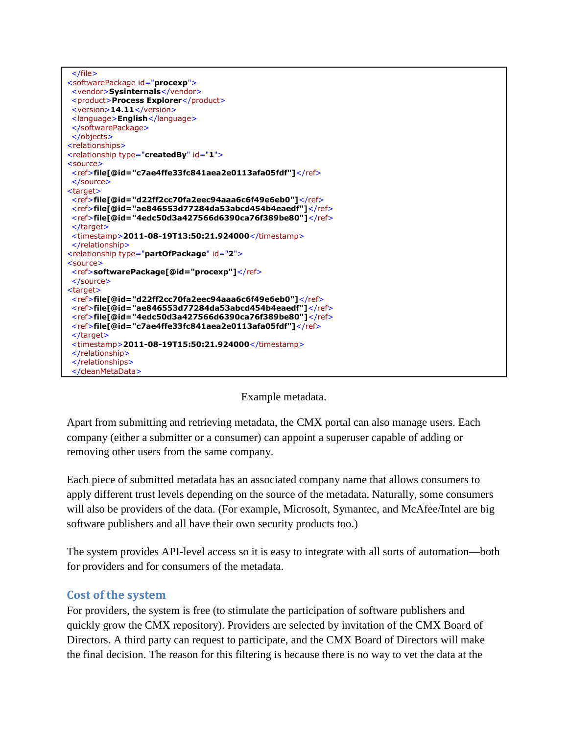

#### Example metadata.

Apart from submitting and retrieving metadata, the CMX portal can also manage users. Each company (either a submitter or a consumer) can appoint a superuser capable of adding or removing other users from the same company.

Each piece of submitted metadata has an associated company name that allows consumers to apply different trust levels depending on the source of the metadata. Naturally, some consumers will also be providers of the data. (For example, Microsoft, Symantec, and McAfee/Intel are big software publishers and all have their own security products too.)

The system provides API-level access so it is easy to integrate with all sorts of automation—both for providers and for consumers of the metadata.

#### **Cost of the system**

For providers, the system is free (to stimulate the participation of software publishers and quickly grow the CMX repository). Providers are selected by invitation of the CMX Board of Directors. A third party can request to participate, and the CMX Board of Directors will make the final decision. The reason for this filtering is because there is no way to vet the data at the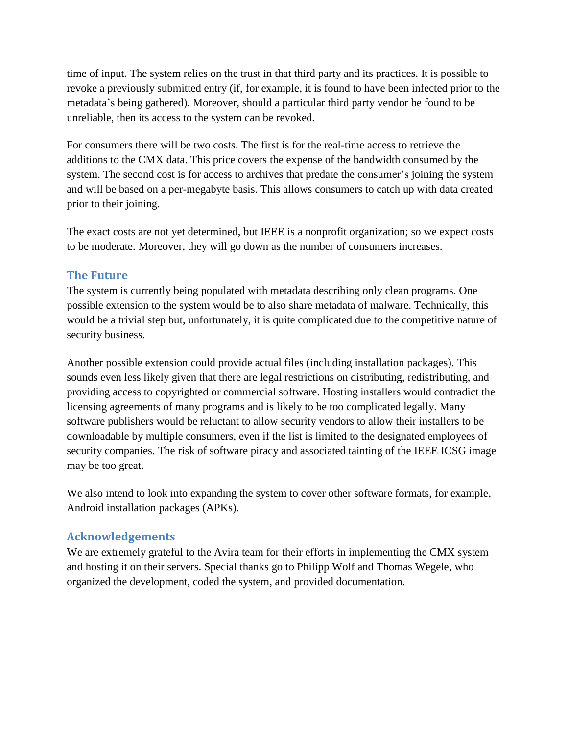time of input. The system relies on the trust in that third party and its practices. It is possible to revoke a previously submitted entry (if, for example, it is found to have been infected prior to the metadata's being gathered). Moreover, should a particular third party vendor be found to be unreliable, then its access to the system can be revoked.

For consumers there will be two costs. The first is for the real-time access to retrieve the additions to the CMX data. This price covers the expense of the bandwidth consumed by the system. The second cost is for access to archives that predate the consumer's joining the system and will be based on a per-megabyte basis. This allows consumers to catch up with data created prior to their joining.

The exact costs are not yet determined, but IEEE is a nonprofit organization; so we expect costs to be moderate. Moreover, they will go down as the number of consumers increases.

# **The Future**

The system is currently being populated with metadata describing only clean programs. One possible extension to the system would be to also share metadata of malware. Technically, this would be a trivial step but, unfortunately, it is quite complicated due to the competitive nature of security business.

Another possible extension could provide actual files (including installation packages). This sounds even less likely given that there are legal restrictions on distributing, redistributing, and providing access to copyrighted or commercial software. Hosting installers would contradict the licensing agreements of many programs and is likely to be too complicated legally. Many software publishers would be reluctant to allow security vendors to allow their installers to be downloadable by multiple consumers, even if the list is limited to the designated employees of security companies. The risk of software piracy and associated tainting of the IEEE ICSG image may be too great.

We also intend to look into expanding the system to cover other software formats, for example, Android installation packages (APKs).

# **Acknowledgements**

We are extremely grateful to the Avira team for their efforts in implementing the CMX system and hosting it on their servers. Special thanks go to Philipp Wolf and Thomas Wegele, who organized the development, coded the system, and provided documentation.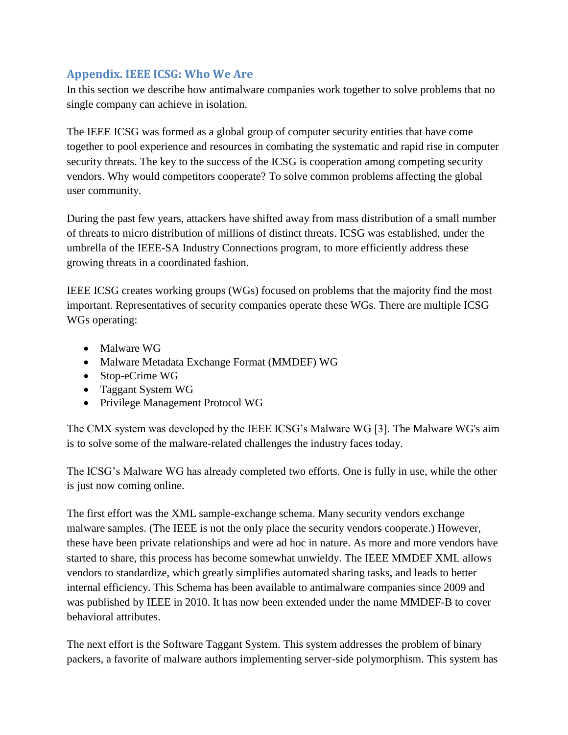# **Appendix. IEEE ICSG: Who We Are**

In this section we describe how antimalware companies work together to solve problems that no single company can achieve in isolation.

The IEEE ICSG was formed as a global group of computer security entities that have come together to pool experience and resources in combating the systematic and rapid rise in computer security threats. The key to the success of the ICSG is cooperation among competing security vendors. Why would competitors cooperate? To solve common problems affecting the global user community.

During the past few years, attackers have shifted away from mass distribution of a small number of threats to micro distribution of millions of distinct threats. ICSG was established, under the umbrella of the IEEE-SA Industry Connections program, to more efficiently address these growing threats in a coordinated fashion.

IEEE ICSG creates working groups (WGs) focused on problems that the majority find the most important. Representatives of security companies operate these WGs. There are multiple ICSG WGs operating:

- Malware WG
- Malware Metadata Exchange Format (MMDEF) WG
- Stop-eCrime WG
- Taggant System WG
- Privilege Management Protocol WG

The CMX system was developed by the IEEE ICSG's Malware WG [3]. The Malware WG's aim is to solve some of the malware-related challenges the industry faces today.

The ICSG's Malware WG has already completed two efforts. One is fully in use, while the other is just now coming online.

The first effort was the XML sample-exchange schema. Many security vendors exchange malware samples. (The IEEE is not the only place the security vendors cooperate.) However, these have been private relationships and were ad hoc in nature. As more and more vendors have started to share, this process has become somewhat unwieldy. The IEEE MMDEF XML allows vendors to standardize, which greatly simplifies automated sharing tasks, and leads to better internal efficiency. This Schema has been available to antimalware companies since 2009 and was published by IEEE in 2010. It has now been extended under the name MMDEF-B to cover behavioral attributes.

The next effort is the Software Taggant System. This system addresses the problem of binary packers, a favorite of malware authors implementing server-side polymorphism. This system has